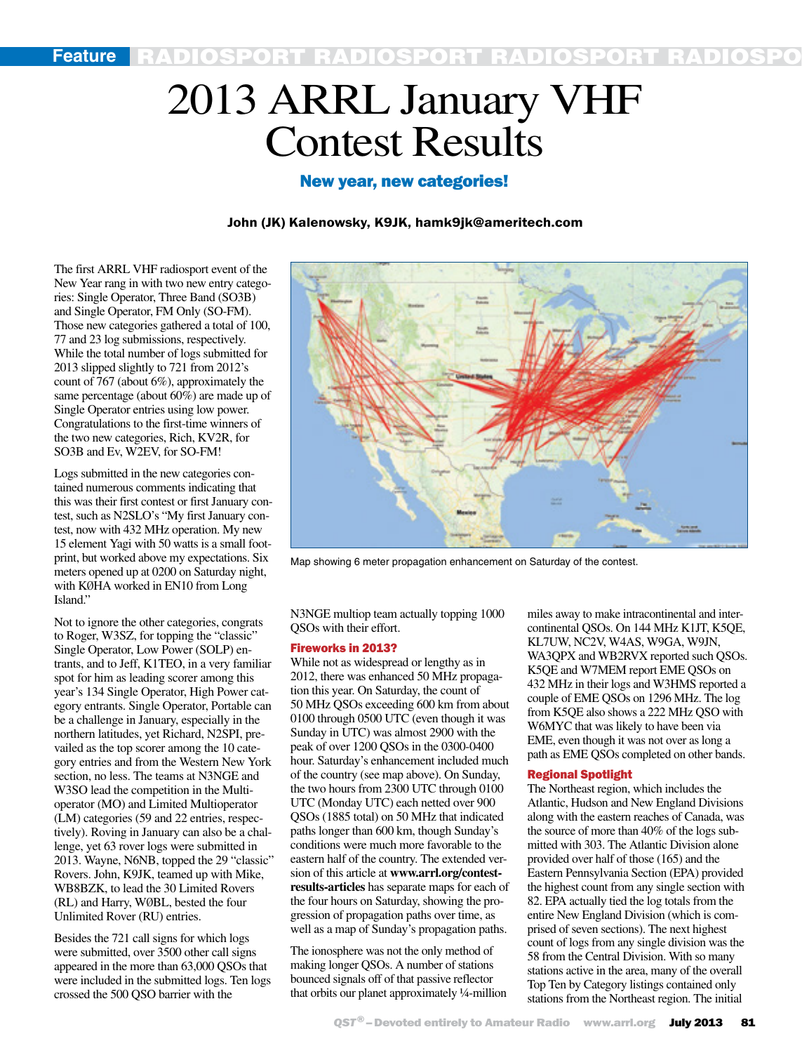# 2013 ARRL January VHF Contest Results

# New year, new categories!

### John (JK) Kalenowsky, K9JK, hamk9jk@ameritech.com

The first ARRL VHF radiosport event of the New Year rang in with two new entry categories: Single Operator, Three Band (SO3B) and Single Operator, FM Only (SO-FM). Those new categories gathered a total of 100, 77 and 23 log submissions, respectively. While the total number of logs submitted for 2013 slipped slightly to 721 from 2012's count of 767 (about 6%), approximately the same percentage (about 60%) are made up of Single Operator entries using low power. Congratulations to the first-time winners of the two new categories, Rich, KV2R, for SO3B and Ev, W2EV, for SO-FM!

Logs submitted in the new categories contained numerous comments indicating that this was their first contest or first January contest, such as N2SLO's "My first January contest, now with 432 MHz operation. My new 15 element Yagi with 50 watts is a small footprint, but worked above my expectations. Six meters opened up at 0200 on Saturday night, with KØHA worked in EN10 from Long Island."

Not to ignore the other categories, congrats to Roger, W3SZ, for topping the "classic" Single Operator, Low Power (SOLP) entrants, and to Jeff, K1TEO, in a very familiar spot for him as leading scorer among this year's 134 Single Operator, High Power category entrants. Single Operator, Portable can be a challenge in January, especially in the northern latitudes, yet Richard, N2SPI, prevailed as the top scorer among the 10 category entries and from the Western New York section, no less. The teams at N3NGE and W3SO lead the competition in the Multioperator (MO) and Limited Multioperator (LM) categories (59 and 22 entries, respectively). Roving in January can also be a challenge, yet 63 rover logs were submitted in 2013. Wayne, N6NB, topped the 29 "classic" Rovers. John, K9JK, teamed up with Mike, WB8BZK, to lead the 30 Limited Rovers (RL) and Harry, WØBL, bested the four Unlimited Rover (RU) entries.

Besides the 721 call signs for which logs were submitted, over 3500 other call signs appeared in the more than 63,000 QSOs that were included in the submitted logs. Ten logs crossed the 500 QSO barrier with the



Map showing 6 meter propagation enhancement on Saturday of the contest.

N3NGE multiop team actually topping 1000 QSOs with their effort.

#### Fireworks in 2013?

While not as widespread or lengthy as in 2012, there was enhanced 50 MHz propagation this year. On Saturday, the count of 50 MHz QSOs exceeding 600 km from about 0100 through 0500 UTC (even though it was Sunday in UTC) was almost 2900 with the peak of over 1200 QSOs in the 0300-0400 hour. Saturday's enhancement included much of the country (see map above). On Sunday, the two hours from 2300 UTC through 0100 UTC (Monday UTC) each netted over 900 QSOs (1885 total) on 50 MHz that indicated paths longer than 600 km, though Sunday's conditions were much more favorable to the eastern half of the country. The extended version of this article at **www.arrl.org/contestresults-articles** has separate maps for each of the four hours on Saturday, showing the progression of propagation paths over time, as well as a map of Sunday's propagation paths.

The ionosphere was not the only method of making longer QSOs. A number of stations bounced signals off of that passive reflector that orbits our planet approximately ¼-million miles away to make intracontinental and intercontinental QSOs. On 144 MHz K1JT, K5QE, KL7UW, NC2V, W4AS, W9GA, W9JN, WA3QPX and WB2RVX reported such QSOs. K5QE and W7MEM report EME QSOs on 432 MHz in their logs and W3HMS reported a couple of EME QSOs on 1296 MHz. The log from K5QE also shows a 222 MHz QSO with W6MYC that was likely to have been via EME, even though it was not over as long a path as EME QSOs completed on other bands.

#### Regional Spotlight

The Northeast region, which includes the Atlantic, Hudson and New England Divisions along with the eastern reaches of Canada, was the source of more than 40% of the logs submitted with 303. The Atlantic Division alone provided over half of those (165) and the Eastern Pennsylvania Section (EPA) provided the highest count from any single section with 82. EPA actually tied the log totals from the entire New England Division (which is comprised of seven sections). The next highest count of logs from any single division was the 58 from the Central Division. With so many stations active in the area, many of the overall Top Ten by Category listings contained only stations from the Northeast region. The initial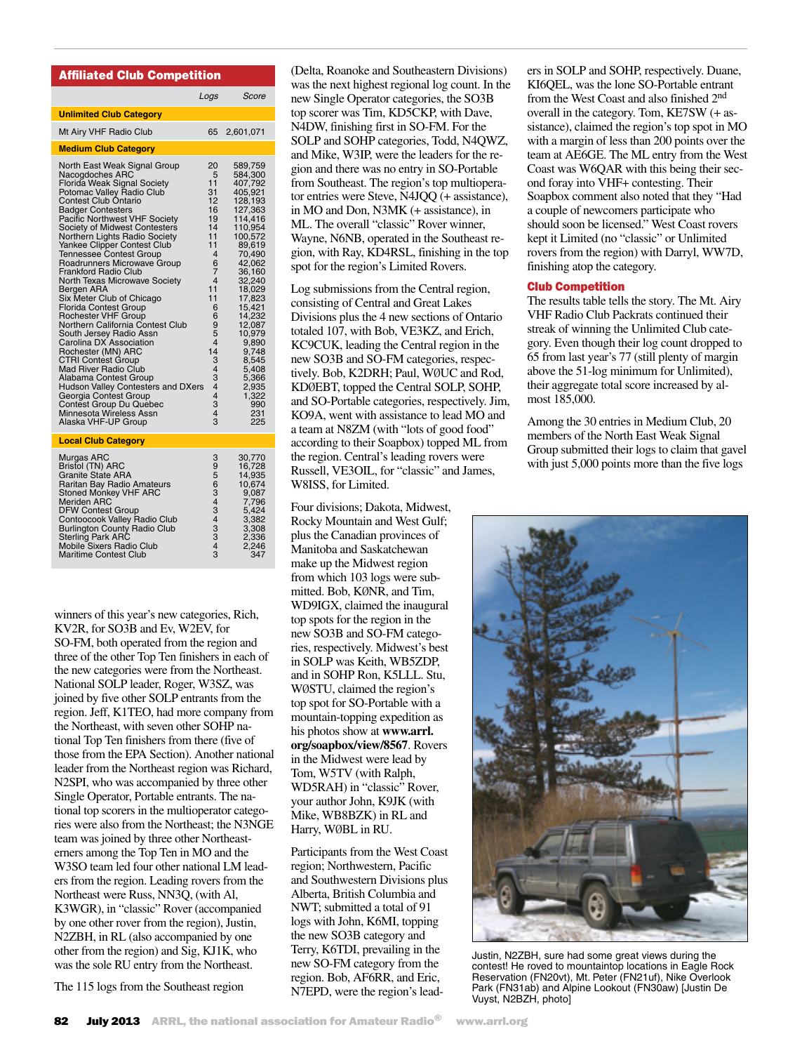## Affiliated Club Competition

|                                                                                                                                                                                                                                                                                                                                                                                                                                                                                                                                                                                                                                                                                                                                                                                                                                                                                              | Logs                                                                                                                                                                                     | Score                                                                                                                                                                                                                                                                                             |
|----------------------------------------------------------------------------------------------------------------------------------------------------------------------------------------------------------------------------------------------------------------------------------------------------------------------------------------------------------------------------------------------------------------------------------------------------------------------------------------------------------------------------------------------------------------------------------------------------------------------------------------------------------------------------------------------------------------------------------------------------------------------------------------------------------------------------------------------------------------------------------------------|------------------------------------------------------------------------------------------------------------------------------------------------------------------------------------------|---------------------------------------------------------------------------------------------------------------------------------------------------------------------------------------------------------------------------------------------------------------------------------------------------|
| <b>Unlimited Club Category</b>                                                                                                                                                                                                                                                                                                                                                                                                                                                                                                                                                                                                                                                                                                                                                                                                                                                               |                                                                                                                                                                                          |                                                                                                                                                                                                                                                                                                   |
| Mt Airy VHF Radio Club                                                                                                                                                                                                                                                                                                                                                                                                                                                                                                                                                                                                                                                                                                                                                                                                                                                                       | 65                                                                                                                                                                                       | 2,601,071                                                                                                                                                                                                                                                                                         |
| <b>Medium Club Category</b>                                                                                                                                                                                                                                                                                                                                                                                                                                                                                                                                                                                                                                                                                                                                                                                                                                                                  |                                                                                                                                                                                          |                                                                                                                                                                                                                                                                                                   |
| North East Weak Signal Group<br>Nacogdoches ARC<br>Florida Weak Signal Society<br>Potomac Valley Radio Club<br><b>Contest Club Ontario</b><br><b>Badger Contesters</b><br>Pacific Northwest VHF Society<br>Society of Midwest Contesters<br>Northern Lights Radio Society<br>Yankee Clipper Contest Club<br>Tennessee Contest Group<br>Roadrunners Microwave Group<br><b>Frankford Radio Club</b><br>North Texas Microwave Society<br>Bergen ARA<br>Six Meter Club of Chicago<br><b>Florida Contest Group</b><br><b>Rochester VHF Group</b><br>Northern California Contest Club<br>South Jersey Radio Assn<br>Carolina DX Association<br>Rochester (MN) ARC<br><b>CTRI Contest Group</b><br><b>Mad River Radio Club</b><br>Alabama Contest Group<br>Hudson Valley Contesters and DXers<br>Georgia Contest Group<br>Contest Group Du Quebec<br>Minnesota Wireless Assn<br>Alaska VHF-UP Group | 20<br>5<br>11<br>31<br>12<br>16<br>19<br>14<br>11<br>11<br>4<br>6<br>7<br>$\overline{4}$<br>11<br>11<br>6<br>6<br>9<br>5<br>4<br>14<br>3<br>4<br>3<br>4<br>$\overline{4}$<br>3<br>4<br>3 | 589,759<br>584,300<br>407,792<br>405,921<br>128,193<br>127,363<br>114.416<br>110,954<br>100,572<br>89,619<br>70,490<br>42,062<br>36,160<br>32,240<br>18,029<br>17,823<br>15,421<br>14,232<br>12,087<br>10,979<br>9,890<br>9,748<br>8,545<br>5,408<br>5,366<br>2,935<br>1,322<br>990<br>231<br>225 |
| <b>Local Club Category</b>                                                                                                                                                                                                                                                                                                                                                                                                                                                                                                                                                                                                                                                                                                                                                                                                                                                                   |                                                                                                                                                                                          |                                                                                                                                                                                                                                                                                                   |
| Murgas ARC<br>Bristol (TN) ARC<br><b>Granite State ARA</b><br>Raritan Bay Radio Amateurs<br><b>Stoned Monkey VHF ARC</b><br><b>Meriden ARC</b><br><b>DFW Contest Group</b><br>Contoocook Valley Radio Club<br><b>Burlington County Radio Club</b><br><b>Sterling Park ARC</b><br>Mobile Sixers Radio Club                                                                                                                                                                                                                                                                                                                                                                                                                                                                                                                                                                                    | 3<br>9<br>5<br>$\overline{6}$<br>3<br>4<br>3<br>4<br>3<br>3<br>4                                                                                                                         | 30,770<br>16,728<br>14,935<br>10,674<br>9,087<br>7,796<br>5,424<br>3,382<br>3,308<br>2,336<br>2.246                                                                                                                                                                                               |

winners of this year's new categories, Rich, KV2R, for SO3B and Ev, W2EV, for SO-FM, both operated from the region and three of the other Top Ten finishers in each of the new categories were from the Northeast. National SOLP leader, Roger, W3SZ, was joined by five other SOLP entrants from the region. Jeff, K1TEO, had more company from the Northeast, with seven other SOHP national Top Ten finishers from there (five of those from the EPA Section). Another national leader from the Northeast region was Richard, N2SPI, who was accompanied by three other Single Operator, Portable entrants. The national top scorers in the multioperator categories were also from the Northeast; the N3NGE team was joined by three other Northeasterners among the Top Ten in MO and the W3SO team led four other national LM leaders from the region. Leading rovers from the Northeast were Russ, NN3Q, (with Al, K3WGR), in "classic" Rover (accompanied by one other rover from the region), Justin, N2ZBH, in RL (also accompanied by one other from the region) and Sig, KJ1K, who was the sole RU entry from the Northeast.

Maritime Contest Club

The 115 logs from the Southeast region

(Delta, Roanoke and Southeastern Divisions) was the next highest regional log count. In the new Single Operator categories, the SO3B top scorer was Tim, KD5CKP, with Dave, N4DW, finishing first in SO-FM. For the SOLP and SOHP categories, Todd, N4QWZ, and Mike, W3IP, were the leaders for the region and there was no entry in SO-Portable from Southeast. The region's top multioperator entries were Steve, N4JQQ (+ assistance), in MO and Don, N3MK (+ assistance), in ML. The overall "classic" Rover winner, Wayne, N6NB, operated in the Southeast region, with Ray, KD4RSL, finishing in the top spot for the region's Limited Rovers.

Log submissions from the Central region, consisting of Central and Great Lakes Divisions plus the 4 new sections of Ontario totaled 107, with Bob, VE3KZ, and Erich, KC9CUK, leading the Central region in the new SO3B and SO-FM categories, respectively. Bob, K2DRH; Paul, WØUC and Rod, KDØEBT, topped the Central SOLP, SOHP, and SO-Portable categories, respectively. Jim, KO9A, went with assistance to lead MO and a team at N8ZM (with "lots of good food" according to their Soapbox) topped ML from the region. Central's leading rovers were Russell, VE3OIL, for "classic" and James, W8ISS, for Limited.

Four divisions; Dakota, Midwest, Rocky Mountain and West Gulf; plus the Canadian provinces of Manitoba and Saskatchewan make up the Midwest region from which 103 logs were submitted. Bob, KØNR, and Tim, WD9IGX, claimed the inaugural top spots for the region in the new SO3B and SO-FM categories, respectively. Midwest's best in SOLP was Keith, WB5ZDP, and in SOHP Ron, K5LLL. Stu, WØSTU, claimed the region's top spot for SO-Portable with a mountain-topping expedition as his photos show at **www.arrl. org/soapbox/view/8567**. Rovers in the Midwest were lead by Tom, W5TV (with Ralph, WD5RAH) in "classic" Rover, your author John, K9JK (with Mike, WB8BZK) in RL and Harry, WØBL in RU.

Participants from the West Coast region; Northwestern, Pacific and Southwestern Divisions plus Alberta, British Columbia and NWT; submitted a total of 91 logs with John, K6MI, topping the new SO3B category and Terry, K6TDI, prevailing in the new SO-FM category from the region. Bob, AF6RR, and Eric, N7EPD, were the region's leaders in SOLP and SOHP, respectively. Duane, KI6QEL, was the lone SO-Portable entrant from the West Coast and also finished 2nd overall in the category. Tom, KE7SW (+ assistance), claimed the region's top spot in MO with a margin of less than 200 points over the team at AE6GE. The ML entry from the West Coast was W6QAR with this being their second foray into VHF+ contesting. Their Soapbox comment also noted that they "Had a couple of newcomers participate who should soon be licensed." West Coast rovers kept it Limited (no "classic" or Unlimited rovers from the region) with Darryl, WW7D, finishing atop the category.

#### Club Competition

The results table tells the story. The Mt. Airy VHF Radio Club Packrats continued their streak of winning the Unlimited Club category. Even though their log count dropped to 65 from last year's 77 (still plenty of margin above the 51-log minimum for Unlimited), their aggregate total score increased by almost 185,000.

Among the 30 entries in Medium Club, 20 members of the North East Weak Signal Group submitted their logs to claim that gavel with just 5,000 points more than the five logs



Justin, N2ZBH, sure had some great views during the contest! He roved to mountaintop locations in Eagle Rock Reservation (FN20vt), Mt. Peter (FN21uf), Nike Overlook Park (FN31ab) and Alpine Lookout (FN30aw) [Justin De Vuyst, N2BZH, photo]